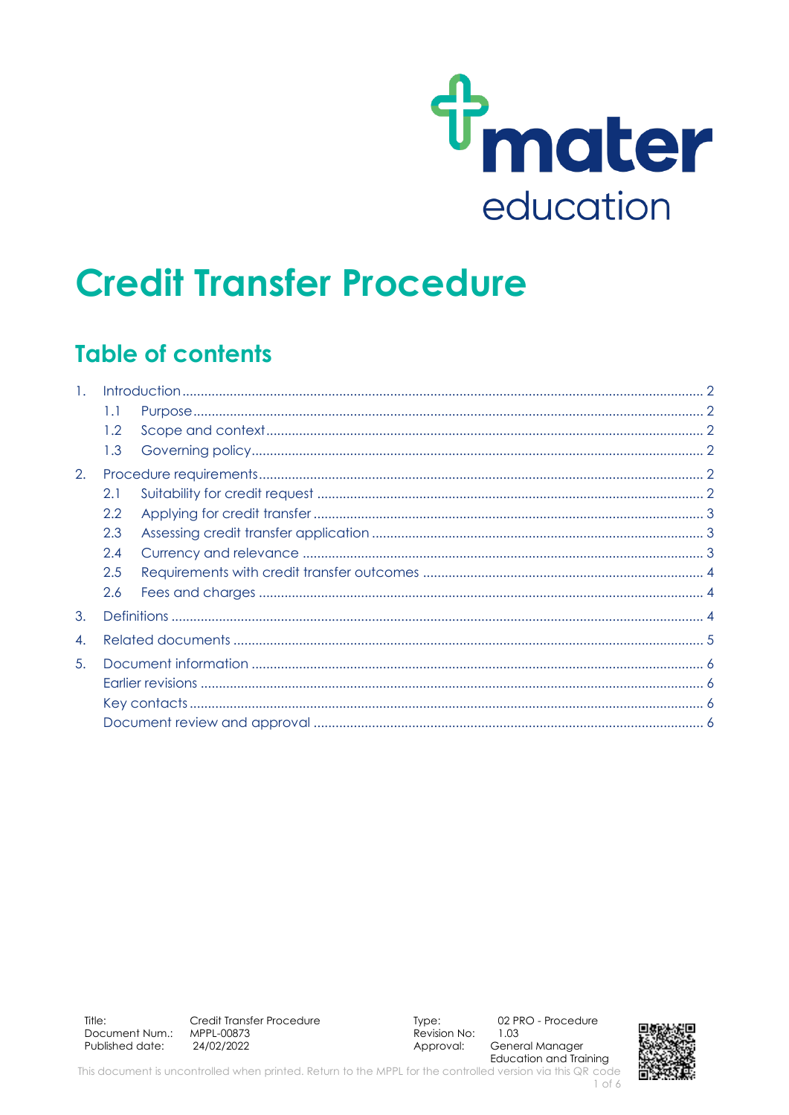

# **Credit Transfer Procedure**

### **Table of contents**

| $\mathbf{1}$ .   |     |  |  |
|------------------|-----|--|--|
|                  | 1.1 |  |  |
|                  | 1.2 |  |  |
|                  | 1.3 |  |  |
| 2.               |     |  |  |
|                  | 2.1 |  |  |
|                  | 2.2 |  |  |
|                  | 2.3 |  |  |
|                  | 2.4 |  |  |
|                  | 2.5 |  |  |
|                  | 2.6 |  |  |
| 3.               |     |  |  |
| $\overline{4}$ . |     |  |  |
| 5.               |     |  |  |
|                  |     |  |  |
|                  |     |  |  |
|                  |     |  |  |

Title: Credit Transfer Procedure Document Num.: MPPL-00873 Published date: 24/02/2022

Type: Revision No: Approval:

02 PRO - Procedure 1.03 General Manager **Education and Training** 

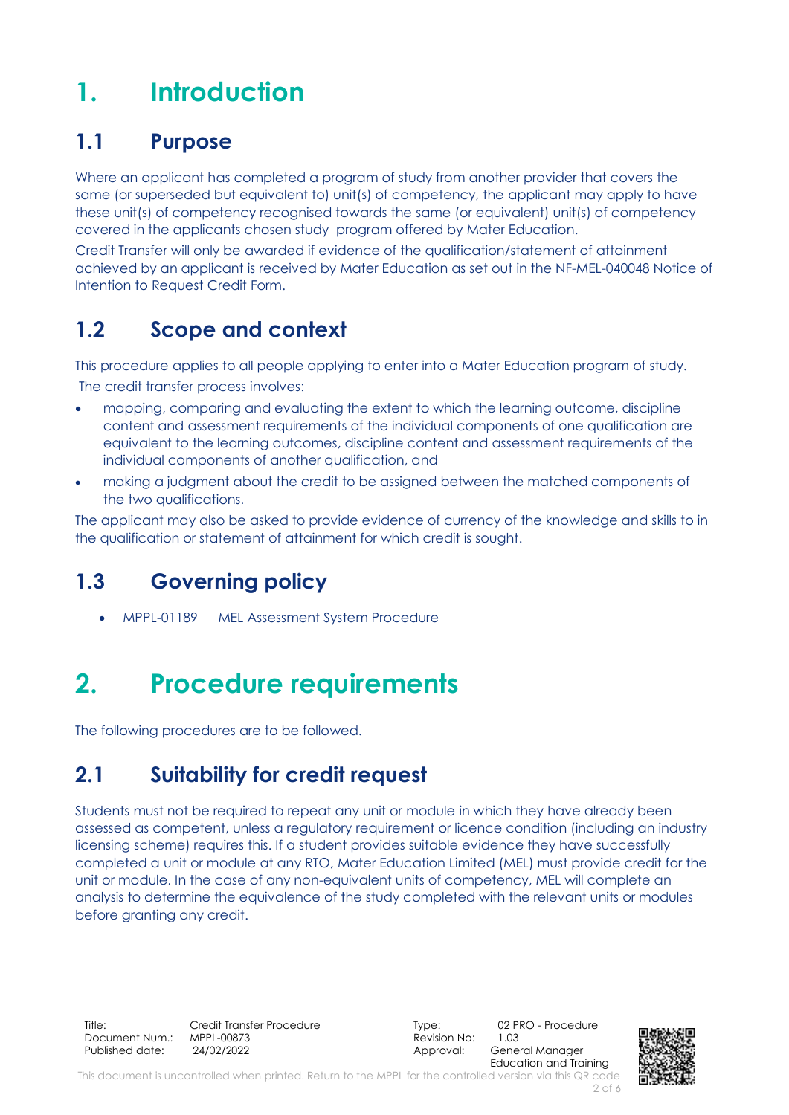## <span id="page-1-0"></span>**1. Introduction**

#### <span id="page-1-1"></span>**1.1 Purpose**

Where an applicant has completed a program of study from another provider that covers the same (or superseded but equivalent to) unit(s) of competency, the applicant may apply to have these unit(s) of competency recognised towards the same (or equivalent) unit(s) of competency covered in the applicants chosen study program offered by Mater Education.

Credit Transfer will only be awarded if evidence of the qualification/statement of attainment achieved by an applicant is received by Mater Education as set out in the NF-MEL-040048 Notice of Intention to Request Credit Form.

### <span id="page-1-2"></span>**1.2 Scope and context**

This procedure applies to all people applying to enter into a Mater Education program of study. The credit transfer process involves:

- mapping, comparing and evaluating the extent to which the learning outcome, discipline content and assessment requirements of the individual components of one qualification are equivalent to the learning outcomes, discipline content and assessment requirements of the individual components of another qualification, and
- making a judgment about the credit to be assigned between the matched components of the two qualifications.

The applicant may also be asked to provide evidence of currency of the knowledge and skills to in the qualification or statement of attainment for which credit is sought.

### <span id="page-1-3"></span>**1.3 Governing policy**

• MPPL-01189 MEL Assessment System Procedure

## <span id="page-1-4"></span>**2. Procedure requirements**

The following procedures are to be followed.

### <span id="page-1-5"></span>**2.1 Suitability for credit request**

Students must not be required to repeat any unit or module in which they have already been assessed as competent, unless a regulatory requirement or licence condition (including an industry licensing scheme) requires this. If a student provides suitable evidence they have successfully completed a unit or module at any RTO, Mater Education Limited (MEL) must provide credit for the unit or module. In the case of any non-equivalent units of competency, MEL will complete an analysis to determine the equivalence of the study completed with the relevant units or modules before granting any credit.

Title: Credit Transfer Procedure Type: 02 PRO - Procedure<br>
Document Num.: MPPL-00873 Consumer Sevision No: 1.03 Document Num.: Published date: 24/02/2022 2003 - 2010 Approval: General Manager

Education and Training

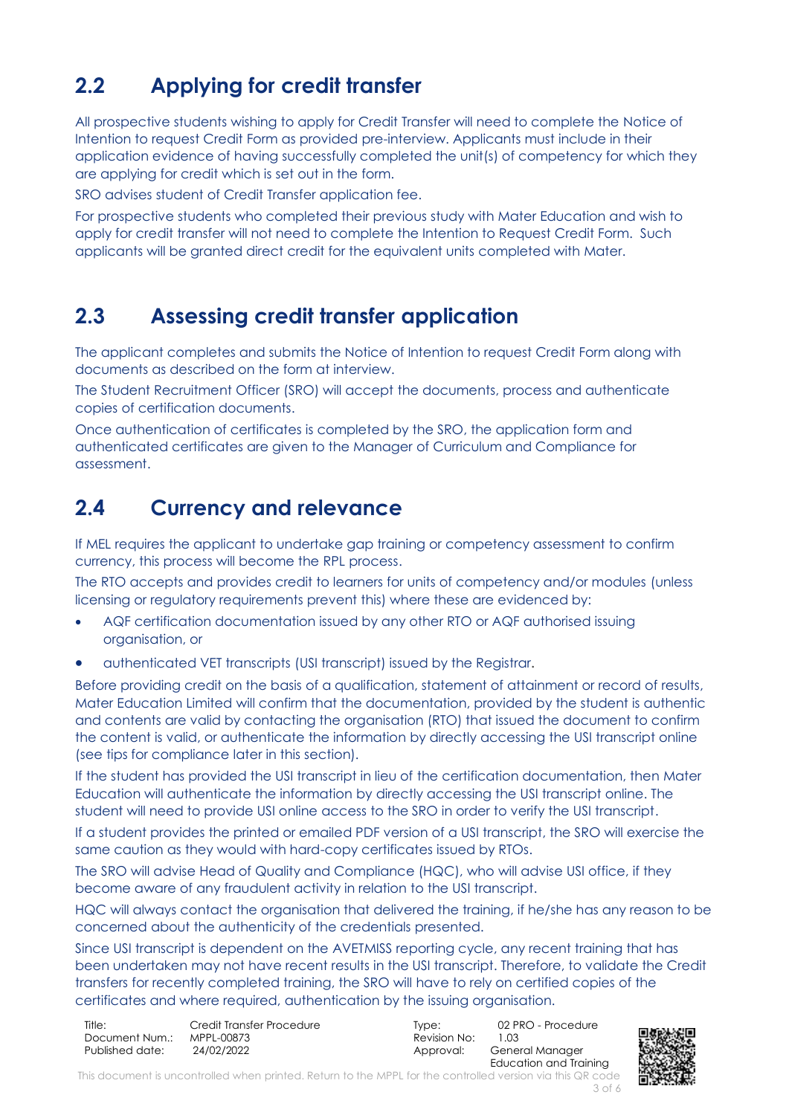### <span id="page-2-0"></span>**2.2 Applying for credit transfer**

All prospective students wishing to apply for Credit Transfer will need to complete the Notice of Intention to request Credit Form as provided pre-interview. Applicants must include in their application evidence of having successfully completed the unit(s) of competency for which they are applying for credit which is set out in the form.

SRO advises student of Credit Transfer application fee.

For prospective students who completed their previous study with Mater Education and wish to apply for credit transfer will not need to complete the Intention to Request Credit Form. Such applicants will be granted direct credit for the equivalent units completed with Mater.

#### <span id="page-2-1"></span>**2.3 Assessing credit transfer application**

The applicant completes and submits the Notice of Intention to request Credit Form along with documents as described on the form at interview.

The Student Recruitment Officer (SRO) will accept the documents, process and authenticate copies of certification documents.

Once authentication of certificates is completed by the SRO, the application form and authenticated certificates are given to the Manager of Curriculum and Compliance for assessment.

#### <span id="page-2-2"></span>**2.4 Currency and relevance**

If MEL requires the applicant to undertake gap training or competency assessment to confirm currency, this process will become the RPL process.

The RTO accepts and provides credit to learners for units of competency and/or modules (unless licensing or regulatory requirements prevent this) where these are evidenced by:

- AQF certification documentation issued by any other RTO or AQF authorised issuing organisation, or
- authenticated VET transcripts (USI transcript) issued by the Registrar.

Before providing credit on the basis of a qualification, statement of attainment or record of results, Mater Education Limited will confirm that the documentation, provided by the student is authentic and contents are valid by contacting the organisation (RTO) that issued the document to confirm the content is valid, or authenticate the information by directly accessing the USI transcript online (see tips for compliance later in this section).

If the student has provided the USI transcript in lieu of the certification documentation, then Mater Education will authenticate the information by directly accessing the USI transcript online. The student will need to provide USI online access to the SRO in order to verify the USI transcript.

If a student provides the printed or emailed PDF version of a USI transcript, the SRO will exercise the same caution as they would with hard-copy certificates issued by RTOs.

The SRO will advise Head of Quality and Compliance (HQC), who will advise USI office, if they become aware of any fraudulent activity in relation to the USI transcript.

HQC will always contact the organisation that delivered the training, if he/she has any reason to be concerned about the authenticity of the credentials presented.

Since USI transcript is dependent on the AVETMISS reporting cycle, any recent training that has been undertaken may not have recent results in the USI transcript. Therefore, to validate the Credit transfers for recently completed training, the SRO will have to rely on certified copies of the certificates and where required, authentication by the issuing organisation.

| Title:          | Credit Transfer Procedure | lvpe:        | 02 PRO - Procedure     |
|-----------------|---------------------------|--------------|------------------------|
| Document Num.:  | MPPL-00873                | Revision No: | 1.03                   |
| Published date: | 24/02/2022                | Approval:    | General Manager        |
|                 |                           |              | Education and Training |

This document is uncontrolled when printed. Return to the MPPL for the controlled version via this QR code 3 of 6

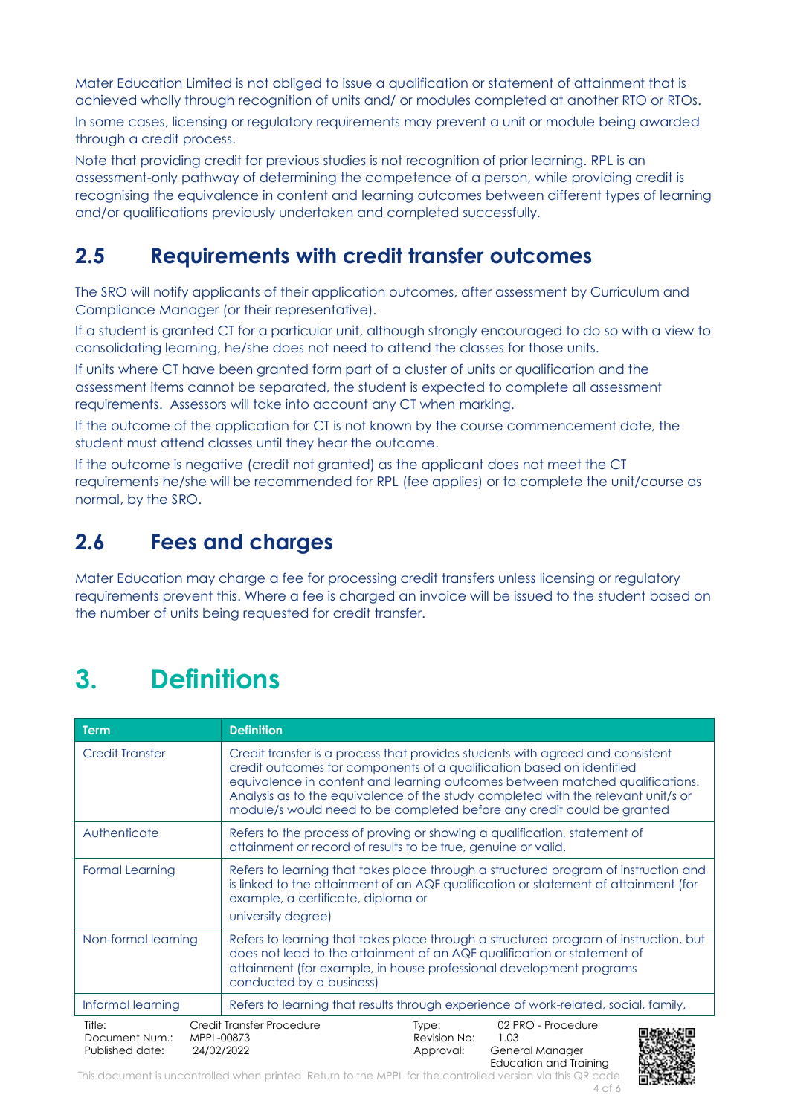Mater Education Limited is not obliged to issue a qualification or statement of attainment that is achieved wholly through recognition of units and/ or modules completed at another RTO or RTOs.

In some cases, licensing or regulatory requirements may prevent a unit or module being awarded through a credit process.

Note that providing credit for previous studies is not recognition of prior learning. RPL is an assessment-only pathway of determining the competence of a person, while providing credit is recognising the equivalence in content and learning outcomes between different types of learning and/or qualifications previously undertaken and completed successfully.

#### <span id="page-3-0"></span>**2.5 Requirements with credit transfer outcomes**

The SRO will notify applicants of their application outcomes, after assessment by Curriculum and Compliance Manager (or their representative).

If a student is granted CT for a particular unit, although strongly encouraged to do so with a view to consolidating learning, he/she does not need to attend the classes for those units.

If units where CT have been granted form part of a cluster of units or qualification and the assessment items cannot be separated, the student is expected to complete all assessment requirements. Assessors will take into account any CT when marking.

If the outcome of the application for CT is not known by the course commencement date, the student must attend classes until they hear the outcome.

If the outcome is negative (credit not granted) as the applicant does not meet the CT requirements he/she will be recommended for RPL (fee applies) or to complete the unit/course as normal, by the SRO.

#### <span id="page-3-1"></span>**2.6 Fees and charges**

Mater Education may charge a fee for processing credit transfers unless licensing or regulatory requirements prevent this. Where a fee is charged an invoice will be issued to the student based on the number of units being requested for credit transfer.

## <span id="page-3-2"></span>**3. Definitions**

| <b>Term</b>                                               | <b>Definition</b>                                                                                                                                                                                                                                                                                                                                                                                      |  |  |  |
|-----------------------------------------------------------|--------------------------------------------------------------------------------------------------------------------------------------------------------------------------------------------------------------------------------------------------------------------------------------------------------------------------------------------------------------------------------------------------------|--|--|--|
| <b>Credit Transfer</b>                                    | Credit transfer is a process that provides students with agreed and consistent<br>credit outcomes for components of a qualification based on identified<br>equivalence in content and learning outcomes between matched qualifications.<br>Analysis as to the equivalence of the study completed with the relevant unit/s or<br>module/s would need to be completed before any credit could be granted |  |  |  |
| Authenticate                                              | Refers to the process of proving or showing a qualification, statement of<br>attainment or record of results to be true, genuine or valid.                                                                                                                                                                                                                                                             |  |  |  |
| <b>Formal Learning</b>                                    | Refers to learning that takes place through a structured program of instruction and<br>is linked to the attainment of an AQF qualification or statement of attainment (for<br>example, a certificate, diploma or<br>university degree)                                                                                                                                                                 |  |  |  |
| Non-formal learning                                       | Refers to learning that takes place through a structured program of instruction, but<br>does not lead to the attainment of an AQF qualification or statement of<br>attainment (for example, in house professional development programs<br>conducted by a business)                                                                                                                                     |  |  |  |
| Informal learning                                         | Refers to learning that results through experience of work-related, social, family,                                                                                                                                                                                                                                                                                                                    |  |  |  |
| Title:<br>Document Num.:<br>MPPL-00873<br>Published date: | Credit Transfer Procedure<br>02 PRO - Procedure<br>Type:<br>Revision No:<br>1.03<br>24/02/2022<br>Approval:<br>General Manager<br>Education and Trainina                                                                                                                                                                                                                                               |  |  |  |

This document is uncontrolled when printed. Return to the MPPL for the controlled version via this QR code 4 of 6

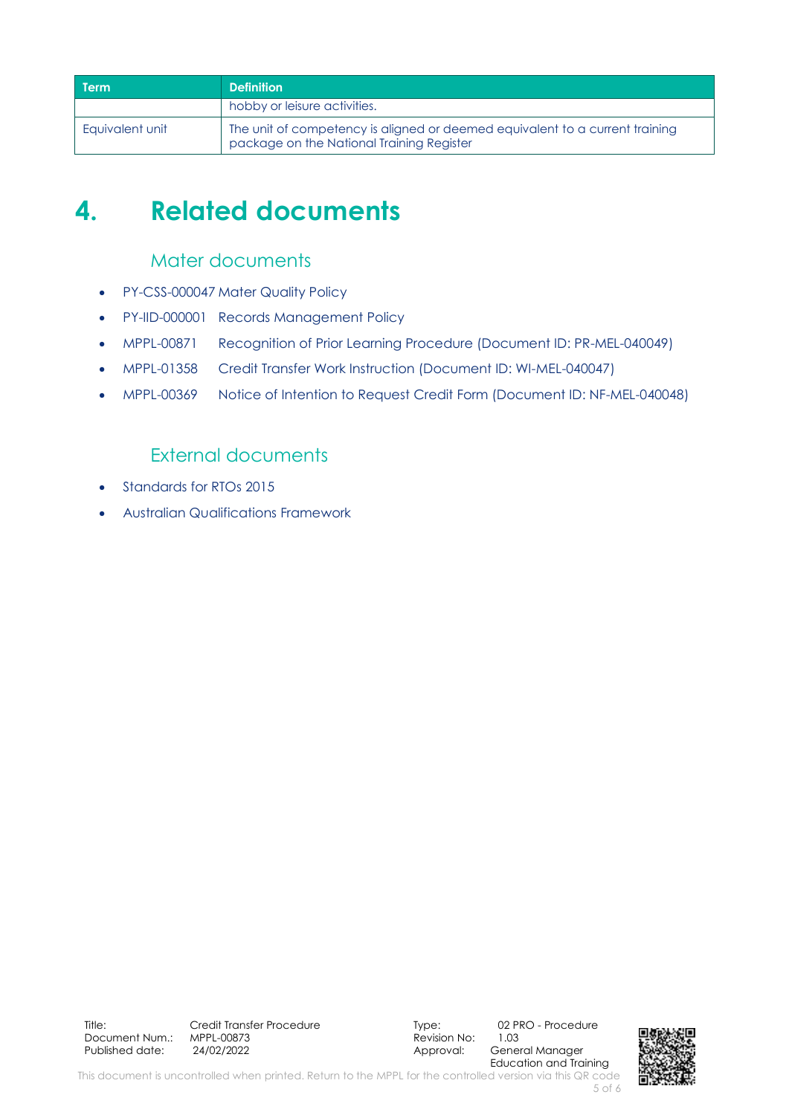| <b>Term</b>     | <b>Definition</b>                                                                                                         |
|-----------------|---------------------------------------------------------------------------------------------------------------------------|
|                 | hobby or leisure activities.                                                                                              |
| Eauivalent unit | The unit of competency is aligned or deemed equivalent to a current training<br>package on the National Training Register |

## <span id="page-4-0"></span>**4. Related documents**

#### Mater documents

- PY-CSS-000047 Mater Quality Policy
- PY-IID-000001 Records Management Policy
- MPPL-00871 Recognition of Prior Learning Procedure (Document ID: PR-MEL-040049)
- MPPL-01358 Credit Transfer Work Instruction (Document ID: WI-MEL-040047)
- MPPL-00369 Notice of Intention to Request Credit Form (Document ID: NF-MEL-040048)

#### External documents

- Standards for RTOs 2015
- Australian Qualifications Framework